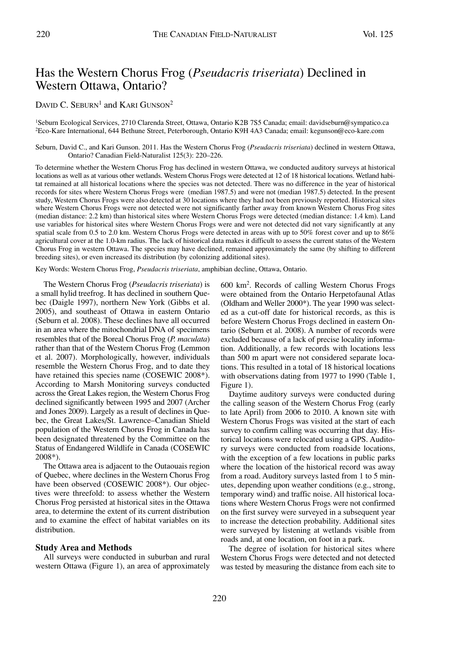# Has the Western Chorus Frog (*Pseudacris triseriata*) Declined in Western Ottawa, Ontario?

DAVID C. SEBURN<sup>1</sup> and KARI GUNSON<sup>2</sup>

1Seburn Ecological Services, 2710 Clarenda Street, Ottawa, Ontario K2B 7S5 Canada; email: davidseburn@sympatico.ca 2Eco-Kare International, 644 Bethune Street, Peterborough, Ontario K9H 4A3 Canada; email: kegunson@eco-kare.com

Seburn, David C., and Kari Gunson. 2011. Has the Western Chorus Frog (*Pseudacris triseriata*) declined in western Ottawa, Ontario? Canadian Field-Naturalist 125(3): 220–226.

To determine whether the Western Chorus Frog has declined in western Ottawa, we conducted auditory surveys at historical locations as well as at various other wetlands. Western Chorus Frogs were detected at 12 of 18 historical locations. Wetland habitat remained at all historical locations where the species was not detected. There was no difference in the year of historical records for sites where Western Chorus Frogs were (median 1987.5) and were not (median 1987.5) detected. In the present study, Western Chorus Frogs were also detected at 30 locations where they had not been previously reported. Historical sites where Western Chorus Frogs were not detected were not significantly farther away from known Western Chorus Frog sites (median distance: 2.2 km) than historical sites where Western Chorus Frogs were detected (median distance: 1.4 km). Land use variables for historical sites where Western Chorus Frogs were and were not detected did not vary significantly at any spatial scale from 0.5 to 2.0 km. Western Chorus Frogs were detected in areas with up to 50% forest cover and up to 86% agricultural cover at the 1.0-km radius. The lack of historical data makes it difficult to assess the current status of the Western Chorus Frog in western Ottawa. The species may have declined, remained approximately the same (by shifting to different breeding sites), or even increased its distribution (by colonizing additional sites).

Key Words: Western Chorus Frog, *Pseudacris triseriata*, amphibian decline, Ottawa, Ontario.

The Western Chorus Frog (*Pseudacris triseriata*) is a small hylid treefrog. It has declined in southern Quebec (Daigle 1997), northern New York (Gibbs et al. 2005), and southeast of Ottawa in eastern Ontario (Seburn et al. 2008). These declines have all occurred in an area where the mitochondrial DNA of specimens resembles that of the Boreal Chorus Frog (*P. maculata*) rather than that of the Western Chorus Frog (Lemmon et al. 2007). Morphologically, however, individuals resemble the Western Chorus Frog, and to date they have retained this species name (COSEWIC 2008\*). According to Marsh Monitoring surveys conducted across the Great Lakes region, the Western Chorus Frog declined significantly between 1995 and 2007 (Archer and Jones 2009). Largely as a result of declines in Quebec, the Great Lakes/St. Lawrence–Canadian Shield population of the Western Chorus Frog in Canada has been designated threatened by the Committee on the Status of Endangered Wildlife in Canada (COSEWIC 2008\*).

The Ottawa area is adjacent to the Outaouais region of Quebec, where declines in the Western Chorus Frog have been observed (COSEWIC 2008\*). Our objectives were threefold: to assess whether the Western Chorus Frog persisted at historical sites in the Ottawa area, to determine the extent of its current distribution and to examine the effect of habitat variables on its distribution.

## **Study Area and Methods**

All surveys were conducted in suburban and rural western Ottawa (Figure 1), an area of approximately

600 km2 . Records of calling Western Chorus Frogs were obtained from the Ontario Herpetofaunal Atlas (Oldham and Weller 2000\*). The year 1990 was selected as a cut-off date for historical records, as this is before Western Chorus Frogs declined in eastern Ontario (Seburn et al. 2008). A number of records were excluded because of a lack of precise locality information. Additionally, a few records with locations less than 500 m apart were not considered separate locations. This resulted in a total of 18 historical locations with observations dating from 1977 to 1990 (Table 1, Figure 1).

Daytime auditory surveys were conducted during the calling season of the Western Chorus Frog (early to late April) from 2006 to 2010. A known site with Western Chorus Frogs was visited at the start of each survey to confirm calling was occurring that day. Historical locations were relocated using a GPS. Auditory surveys were conducted from roadside locations, with the exception of a few locations in public parks where the location of the historical record was away from a road. Auditory surveys lasted from 1 to 5 minutes, depending upon weather conditions (e.g., strong, temporary wind) and traffic noise. All historical locations where Western Chorus Frogs were not confirmed on the first survey were surveyed in a subsequent year to increase the detection probability. Additional sites were surveyed by listening at wetlands visible from roads and, at one location, on foot in a park.

The degree of isolation for historical sites where Western Chorus Frogs were detected and not detected was tested by measuring the distance from each site to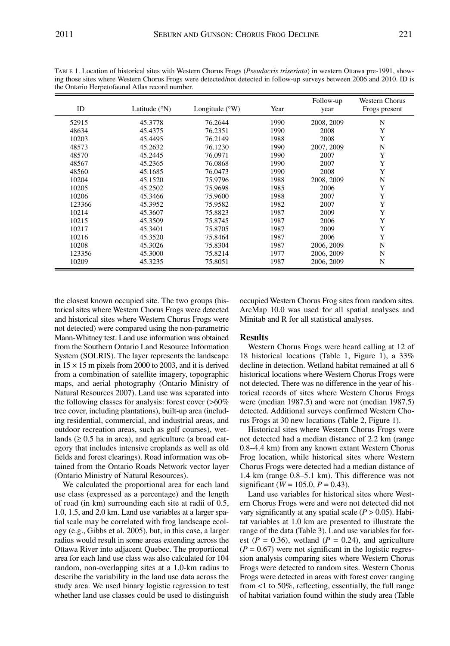| ID     | Latitude $(^{\circ}N)$ | Longitude $(^{\circ}W)$ | Year | Follow-up<br>year | Western Chorus<br>Frogs present |
|--------|------------------------|-------------------------|------|-------------------|---------------------------------|
| 52915  | 45.3778                | 76.2644                 | 1990 | 2008, 2009        | N                               |
| 48634  | 45.4375                | 76.2351                 | 1990 | 2008              | Y                               |
| 10203  | 45.4495                | 76.2149                 | 1988 | 2008              | Y                               |
| 48573  | 45.2632                | 76.1230                 | 1990 | 2007, 2009        | N                               |
| 48570  | 45.2445                | 76.0971                 | 1990 | 2007              | Y                               |
| 48567  | 45.2365                | 76.0868                 | 1990 | 2007              | Y                               |
| 48560  | 45.1685                | 76.0473                 | 1990 | 2008              | Y                               |
| 10204  | 45.1520                | 75.9796                 | 1988 | 2008, 2009        | N                               |
| 10205  | 45.2502                | 75.9698                 | 1985 | 2006              | Y                               |
| 10206  | 45.3466                | 75.9600                 | 1988 | 2007              | Y                               |
| 123366 | 45.3952                | 75.9582                 | 1982 | 2007              | Y                               |
| 10214  | 45.3607                | 75.8823                 | 1987 | 2009              | Y                               |
| 10215  | 45.3509                | 75.8745                 | 1987 | 2006              | Y                               |
| 10217  | 45.3401                | 75.8705                 | 1987 | 2009              | Y                               |
| 10216  | 45.3520                | 75.8464                 | 1987 | 2006              | Y                               |
| 10208  | 45.3026                | 75.8304                 | 1987 | 2006, 2009        | N                               |
| 123356 | 45.3000                | 75.8214                 | 1977 | 2006, 2009        | N                               |
| 10209  | 45.3235                | 75.8051                 | 1987 | 2006, 2009        | N                               |

TABLE 1. Location of historical sites with Western Chorus Frogs (*Pseudacris triseriata*) in western Ottawa pre-1991, showing those sites where Western Chorus Frogs were detected/not detected in follow-up surveys between 2006 and 2010. ID is the Ontario Herpetofaunal Atlas record number.

the closest known occupied site. The two groups (historical sites where Western Chorus Frogs were detected and historical sites where Western Chorus Frogs were not detected) were compared using the non-parametric Mann-Whitney test. Land use information was obtained from the Southern Ontario Land Resource Information System (SOLRIS). The layer represents the landscape in  $15 \times 15$  m pixels from 2000 to 2003, and it is derived from a combination of satellite imagery, topographic maps, and aerial photography (Ontario Ministry of Natural Resources 2007). Land use was separated into the following classes for analysis: forest cover (>60% tree cover, including plantations), built-up area (including residential, commercial, and industrial areas, and outdoor recreation areas, such as golf courses), wetlands  $(≥ 0.5$  ha in area), and agriculture (a broad category that includes intensive croplands as well as old fields and forest clearings). Road information was obtained from the Ontario Roads Network vector layer (Ontario Ministry of Natural Resources).

We calculated the proportional area for each land use class (expressed as a percentage) and the length of road (in km) surrounding each site at radii of 0.5, 1.0, 1.5, and 2.0 km. Land use variables at a larger spatial scale may be correlated with frog landscape ecology (e.g., Gibbs et al. 2005), but, in this case, a larger radius would result in some areas extending across the Ottawa River into adjacent Quebec. The proportional area for each land use class was also calculated for 104 random, non-overlapping sites at a 1.0-km radius to describe the variability in the land use data across the study area. We used binary logistic regression to test whether land use classes could be used to distinguish occupied Western Chorus Frog sites from random sites. ArcMap 10.0 was used for all spatial analyses and Minitab and R for all statistical analyses.

# **Results**

Western Chorus Frogs were heard calling at 12 of 18 historical locations (Table 1, Figure 1), a 33% decline in detection. Wetland habitat remained at all 6 historical locations where Western Chorus Frogs were not detected. There was no difference in the year of historical records of sites where Western Chorus Frogs were (median 1987.5) and were not (median 1987.5) detected. Additional surveys confirmed Western Chorus Frogs at 30 new locations (Table 2, Figure 1).

Historical sites where Western Chorus Frogs were not detected had a median distance of 2.2 km (range 0.8–4.4 km) from any known extant Western Chorus Frog location, while historical sites where Western Chorus Frogs were detected had a median distance of 1.4 km (range 0.8–5.1 km). This difference was not significant ( $W = 105.0, P = 0.43$ ).

Land use variables for historical sites where Western Chorus Frogs were and were not detected did not vary significantly at any spatial scale  $(P > 0.05)$ . Habitat variables at 1.0 km are presented to illustrate the range of the data (Table 3). Land use variables for forest  $(P = 0.36)$ , wetland  $(P = 0.24)$ , and agriculture  $(P = 0.67)$  were not significant in the logistic regression analysis comparing sites where Western Chorus Frogs were detected to random sites. Western Chorus Frogs were detected in areas with forest cover ranging from <1 to 50%, reflecting, essentially, the full range of habitat variation found within the study area (Table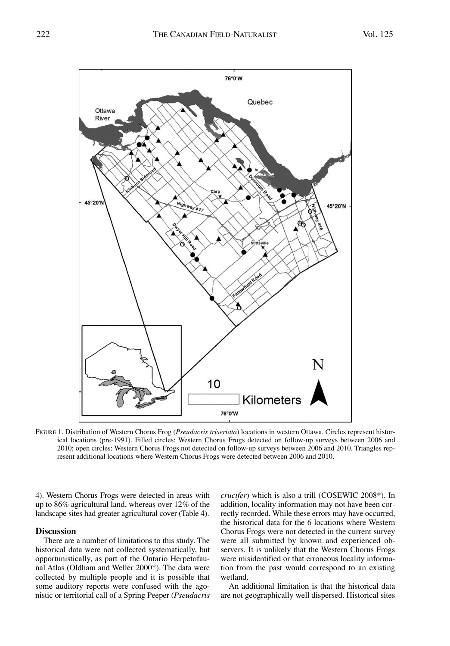

FIGURE 1. Distribution of Western Chorus Frog (*Pseudacris triseriata*) locations in western Ottawa. Circles represent historical locations (pre-1991). Filled circles: Western Chorus Frogs detected on follow-up surveys between 2006 and 2010; open circles: Western Chorus Frogs not detected on follow-up surveys between 2006 and 2010. Triangles represent additional locations where Western Chorus Frogs were detected between 2006 and 2010.

4). Western Chorus Frogs were detected in areas with up to 86% agricultural land, whereas over 12% of the landscape sites had greater agricultural cover (Table 4).

#### **Discussion**

There are a number of limitations to this study. The historical data were not collected systematically, but opportunistically, as part of the Ontario Herpetofaunal Atlas (Oldham and Weller 2000\*). The data were collected by multiple people and it is possible that some auditory reports were confused with the agonistic or territorial call of a Spring Peeper (*Pseudacris*

*crucifer*) which is also a trill (COSEWIC 2008\*). In addition, locality information may not have been correctly recorded. While these errors may have occurred, the historical data for the 6 locations where Western Chorus Frogs were not detected in the current survey were all submitted by known and experienced observers. It is unlikely that the Western Chorus Frogs were misidentified or that erroneous locality information from the past would correspond to an existing wetland.

An additional limitation is that the historical data are not geographically well dispersed. Historical sites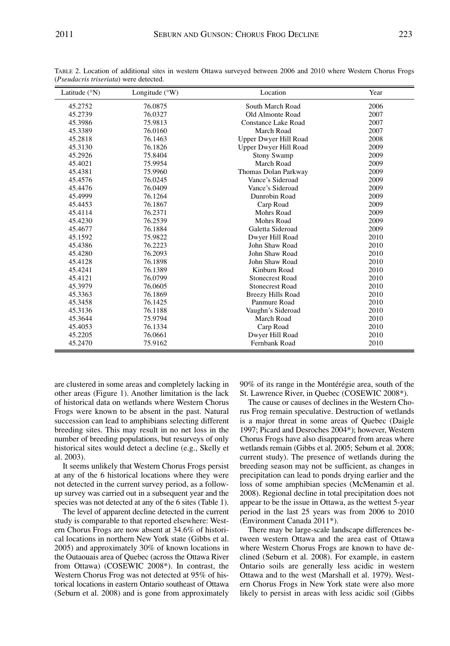| Latitude $(^{\circ}N)$ | Longitude $(^{\circ}W)$ | Location                 | Year |
|------------------------|-------------------------|--------------------------|------|
| 45.2752                | 76.0875                 | South March Road         | 2006 |
| 45.2739                | 76.0327                 | Old Almonte Road         | 2007 |
| 45.3986                | 75.9813                 | Constance Lake Road      | 2007 |
| 45.3389                | 76.0160                 | March Road               | 2007 |
| 45.2818                | 76.1463                 | Upper Dwyer Hill Road    | 2008 |
| 45.3130                | 76.1826                 | Upper Dwyer Hill Road    | 2009 |
| 45.2926                | 75.8404                 | <b>Stony Swamp</b>       | 2009 |
| 45.4021                | 75.9954                 | March Road               | 2009 |
| 45.4381                | 75.9960                 | Thomas Dolan Parkway     | 2009 |
| 45.4576                | 76.0245                 | Vance's Sideroad         | 2009 |
| 45.4476                | 76.0409                 | Vance's Sideroad         | 2009 |
| 45.4999                | 76.1264                 | Dunrobin Road            | 2009 |
| 45.4453                | 76.1867                 | Carp Road                | 2009 |
| 45.4114                | 76.2371                 | Mohrs Road               | 2009 |
| 45.4230                | 76.2539                 | Mohrs Road               | 2009 |
| 45.4677                | 76.1884                 | Galetta Sideroad         | 2009 |
| 45.1592                | 75.9822                 | Dwyer Hill Road          | 2010 |
| 45.4386                | 76.2223                 | John Shaw Road           | 2010 |
| 45.4280                | 76.2093                 | John Shaw Road           | 2010 |
| 45.4128                | 76.1898                 | John Shaw Road           | 2010 |
| 45.4241                | 76.1389                 | Kinburn Road             | 2010 |
| 45.4121                | 76.0799                 | <b>Stonecrest Road</b>   | 2010 |
| 45.3979                | 76.0605                 | <b>Stonecrest Road</b>   | 2010 |
| 45.3363                | 76.1869                 | <b>Breezy Hills Road</b> | 2010 |
| 45.3458                | 76.1425                 | Panmure Road             | 2010 |
| 45.3136                | 76.1188                 | Vaughn's Sideroad        | 2010 |
| 45.3644                | 75.9794                 | March Road               | 2010 |
| 45.4053                | 76.1334                 | Carp Road                | 2010 |
| 45.2205                | 76.0661                 | Dwyer Hill Road          | 2010 |
| 45.2470                | 75.9162                 | Fernbank Road            | 2010 |

TABLE 2. Location of additional sites in western Ottawa surveyed between 2006 and 2010 where Western Chorus Frogs (*Pseudacris triseriata*) were detected.

are clustered in some areas and completely lacking in other areas (Figure 1). Another limitation is the lack of historical data on wetlands where Western Chorus Frogs were known to be absent in the past. Natural succession can lead to amphibians selecting different breeding sites. This may result in no net loss in the number of breeding populations, but resurveys of only historical sites would detect a decline (e.g., Skelly et al. 2003).

It seems unlikely that Western Chorus Frogs persist at any of the 6 historical locations where they were not detected in the current survey period, as a followup survey was carried out in a subsequent year and the species was not detected at any of the 6 sites (Table 1).

The level of apparent decline detected in the current study is comparable to that reported elsewhere: Western Chorus Frogs are now absent at 34.6% of historical locations in northern New York state (Gibbs et al. 2005) and approximately 30% of known locations in the Outaouais area of Quebec (across the Ottawa River from Ottawa) (COSEWIC 2008\*). In contrast, the Western Chorus Frog was not detected at 95% of historical locations in eastern Ontario southeast of Ottawa (Seburn et al. 2008) and is gone from approximately 90% of its range in the Montérégie area, south of the St. Lawrence River, in Quebec (COSEWIC 2008\*).

The cause or causes of declines in the Western Chorus Frog remain speculative. Destruction of wetlands is a major threat in some areas of Quebec (Daigle 1997; Picard and Desroches 2004\*); however, Western Chorus Frogs have also disappeared from areas where wetlands remain (Gibbs et al. 2005; Seburn et al. 2008; current study). The presence of wetlands during the breeding season may not be sufficient, as changes in precipitation can lead to ponds drying earlier and the loss of some amphibian species (McMenamin et al. 2008). Regional decline in total precipitation does not appear to be the issue in Ottawa, as the wettest 5-year period in the last 25 years was from 2006 to 2010 (Environment Canada 2011\*).

There may be large-scale landscape differences between western Ottawa and the area east of Ottawa where Western Chorus Frogs are known to have declined (Seburn et al. 2008). For example, in eastern Ontario soils are generally less acidic in western Ottawa and to the west (Marshall et al. 1979). Western Chorus Frogs in New York state were also more likely to persist in areas with less acidic soil (Gibbs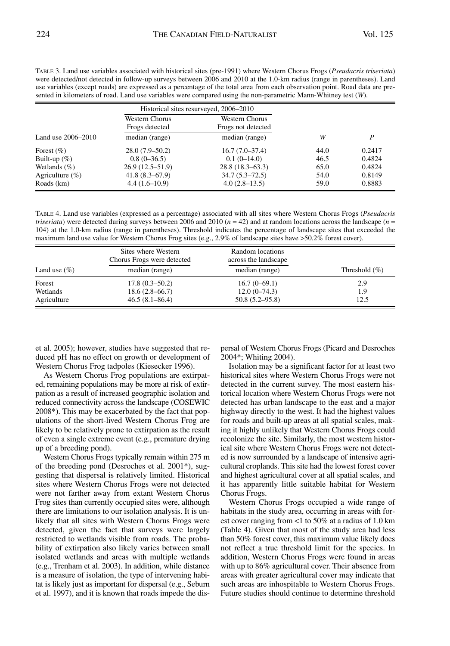| TABLE 3. Land use variables associated with historical sites (pre-1991) where Western Chorus Frogs ( <i>Pseudacris triseriata</i> )                                                                                                                     |
|---------------------------------------------------------------------------------------------------------------------------------------------------------------------------------------------------------------------------------------------------------|
| were detected/not detected in follow-up surveys between 2006 and 2010 at the 1.0-km radius (range in parentheses). Land<br>use variables (except roads) are expressed as a percentage of the total area from each observation point. Road data are pre- |
| sented in kilometers of road. Land use variables were compared using the non-parametric Mann-Whitney test $(W)$ .                                                                                                                                       |

|                     | Historical sites resurveyed, 2006–2010  |                                      |      |        |
|---------------------|-----------------------------------------|--------------------------------------|------|--------|
|                     | <b>Western Chorus</b><br>Frogs detected | Western Chorus<br>Frogs not detected |      |        |
| Land use 2006–2010  | median (range)                          | median (range)                       | W    | P      |
| Forest $(\% )$      | $28.0(7.9-50.2)$                        | $16.7(7.0-37.4)$                     | 44.0 | 0.2417 |
| Built-up $(\%)$     | $0.8(0-36.5)$                           | $0.1(0-14.0)$                        | 46.5 | 0.4824 |
| Wetlands $(\% )$    | $26.9(12.5-51.9)$                       | 28.8(18.3–63.3)                      | 65.0 | 0.4824 |
| Agriculture $(\% )$ | 41.8(8.3–67.9)                          | $34.7(5.3 - 72.5)$                   | 54.0 | 0.8149 |
| Roads (km)          | $4.4(1.6-10.9)$                         | $4.0(2.8-13.5)$                      | 59.0 | 0.8883 |

TABLE 4. Land use variables (expressed as a percentage) associated with all sites where Western Chorus Frogs (*Pseudacris triseriata*) were detected during surveys between 2006 and 2010 (*n* = 42) and at random locations across the landscape (*n* = 104) at the 1.0-km radius (range in parentheses). Threshold indicates the percentage of landscape sites that exceeded the maximum land use value for Western Chorus Frog sites (e.g., 2.9% of landscape sites have >50.2% forest cover).

|                  | Sites where Western<br>Chorus Frogs were detected | Random locations<br>across the landscape |                   |
|------------------|---------------------------------------------------|------------------------------------------|-------------------|
| Land use $(\% )$ | median (range)                                    | median (range)                           | Threshold $(\% )$ |
| Forest           | $17.8(0.3 - 50.2)$                                | $16.7(0-69.1)$                           | 2.9               |
| Wetlands         | $18.6(2.8 - 66.7)$                                | $12.0(0-74.3)$                           | 1.9               |
| Agriculture      | $46.5(8.1 - 86.4)$                                | $50.8(5.2 - 95.8)$                       | 12.5              |

et al. 2005); however, studies have suggested that reduced pH has no effect on growth or development of Western Chorus Frog tadpoles (Kiesecker 1996).

As Western Chorus Frog populations are extirpated, remaining populations may be more at risk of extirpation as a result of increased geographic isolation and reduced connectivity across the landscape (COSEWIC 2008\*). This may be exacerbated by the fact that populations of the short-lived Western Chorus Frog are likely to be relatively prone to extirpation as the result of even a single extreme event (e.g., premature drying up of a breeding pond).

Western Chorus Frogs typically remain within 275 m of the breeding pond (Desroches et al. 2001\*), suggesting that dispersal is relatively limited. Historical sites where Western Chorus Frogs were not detected were not farther away from extant Western Chorus Frog sites than currently occupied sites were, although there are limitations to our isolation analysis. It is unlikely that all sites with Western Chorus Frogs were detected, given the fact that surveys were largely restricted to wetlands visible from roads. The probability of extirpation also likely varies between small isolated wetlands and areas with multiple wetlands (e.g., Trenham et al. 2003). In addition, while distance is a measure of isolation, the type of intervening habitat is likely just as important for dispersal (e.g., Seburn et al. 1997), and it is known that roads impede the dispersal of Western Chorus Frogs (Picard and Desroches 2004\*; Whiting 2004).

Isolation may be a significant factor for at least two historical sites where Western Chorus Frogs were not detected in the current survey. The most eastern historical location where Western Chorus Frogs were not detected has urban landscape to the east and a major highway directly to the west. It had the highest values for roads and built-up areas at all spatial scales, making it highly unlikely that Western Chorus Frogs could recolonize the site. Similarly, the most western historical site where Western Chorus Frogs were not detected is now surrounded by a landscape of intensive agricultural croplands. This site had the lowest forest cover and highest agricultural cover at all spatial scales, and it has apparently little suitable habitat for Western Chorus Frogs.

Western Chorus Frogs occupied a wide range of habitats in the study area, occurring in areas with forest cover ranging from <1 to 50% at a radius of 1.0 km (Table 4). Given that most of the study area had less than 50% forest cover, this maximum value likely does not reflect a true threshold limit for the species. In addition, Western Chorus Frogs were found in areas with up to 86% agricultural cover. Their absence from areas with greater agricultural cover may indicate that such areas are inhospitable to Western Chorus Frogs. Future studies should continue to determine threshold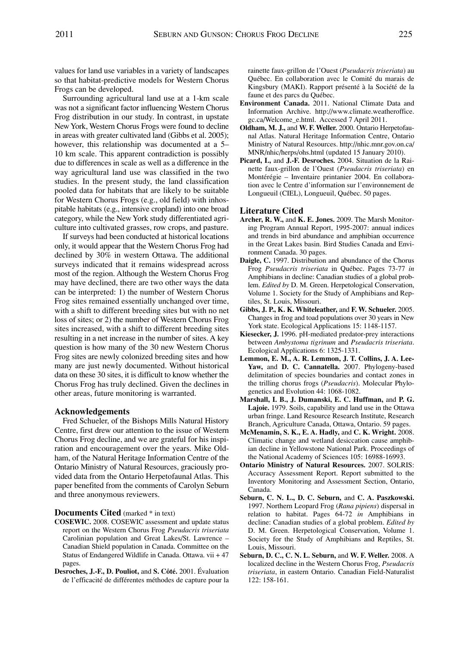values for land use variables in a variety of landscapes so that habitat-predictive models for Western Chorus Frogs can be developed.

Surrounding agricultural land use at a 1-km scale was not a significant factor influencing Western Chorus Frog distribution in our study. In contrast, in upstate NewYork, Western Chorus Frogs were found to decline in areas with greater cultivated land (Gibbs et al. 2005); however, this relationship was documented at a 5– 10 km scale. This apparent contradiction is possibly due to differences in scale as well as a difference in the way agricultural land use was classified in the two studies. In the present study, the land classification pooled data for habitats that are likely to be suitable for Western Chorus Frogs (e.g., old field) with inhospitable habitats (e.g., intensive cropland) into one broad category, while the NewYork study differentiated agriculture into cultivated grasses, row crops, and pasture.

If surveys had been conducted at historical locations only, it would appear that the Western Chorus Frog had declined by 30% in western Ottawa. The additional surveys indicated that it remains widespread across most of the region. Although the Western Chorus Frog may have declined, there are two other ways the data can be interpreted: 1) the number of Western Chorus Frog sites remained essentially unchanged over time, with a shift to different breeding sites but with no net loss of sites; or 2) the number of Western Chorus Frog sites increased, with a shift to different breeding sites resulting in a net increase in the number of sites. A key question is how many of the 30 new Western Chorus Frog sites are newly colonized breeding sites and how many are just newly documented. Without historical data on these 30 sites, it is difficult to know whether the Chorus Frog has truly declined. Given the declines in other areas, future monitoring is warranted.

## **Acknowledgements**

Fred Schueler, of the Bishops Mills Natural History Centre, first drew our attention to the issue of Western Chorus Frog decline, and we are grateful for his inspiration and encouragement over the years. Mike Oldham, of the Natural Heritage Information Centre of the Ontario Ministry of Natural Resources, graciously provided data from the Ontario Herpetofaunal Atlas. This paper benefited from the comments of Carolyn Seburn and three anonymous reviewers.

**Documents Cited** (marked \* in text)

- **COSEWIC.** 2008. COSEWIC assessment and update status report on the Western Chorus Frog *Pseudacris triseriata* Carolinian population and Great Lakes/St. Lawrence – Canadian Shield population in Canada. Committee on the Status of Endangered Wildlife in Canada. Ottawa. vii + 47 pages.
- **Desroches, J.-F., D. Pouliot,** and **S. Côté.** 2001. Évaluation de l'efficacité de différentes méthodes de capture pour la

rainette faux-grillon de l'Ouest (*Pseudacris triseriata*) au Québec. En collaboration avec le Comité du marais de Kingsbury (MAKI). Rapport présenté à la Société de la faune et des parcs du Québec.

- **Environment Canada.** 2011. National Climate Data and Information Archive. http://www.climate.weatheroffice. gc.ca/Welcome\_e.html. Accessed 7 April 2011.
- **Oldham, M. J.,** and **W. F. Weller.** 2000. Ontario Herpetofaunal Atlas. Natural Heritage Information Centre, Ontario Ministry of Natural Resources. http://nhic.mnr.gov.on.ca/ MNR/nhic/herps/ohs.html (updated 15 January 2010).
- **Picard, I.,** and **J.-F. Desroches.** 2004. Situation de la Rainette faux-grillon de l'Ouest (*Pseudacris triseriata*) en Montérégie – Inventaire printanier 2004. En collaboration avec le Centre d'information sur l'environnement de Longueuil (CIEL), Longueuil, Québec. 50 pages.

#### **Literature Cited**

- **Archer, R. W.,** and **K. E. Jones.** 2009. The Marsh Monitoring Program Annual Report, 1995-2007: annual indices and trends in bird abundance and amphibian occurrence in the Great Lakes basin. Bird Studies Canada and Environment Canada. 30 pages.
- **Daigle, C.** 1997. Distribution and abundance of the Chorus Frog *Pseudacris triseriata* in Québec. Pages 73-77 *in* Amphibians in decline: Canadian studies of a global problem. *Edited by* D. M. Green. Herpetological Conservation, Volume 1. Society for the Study of Amphibians and Reptiles, St. Louis, Missouri.
- **Gibbs, J. P., K. K. Whiteleather,** and **F. W. Schueler.** 2005. Changes in frog and toad populations over 30 years in New York state. Ecological Applications 15: 1148-1157.
- **Kiesecker, J.** 1996. pH-mediated predator-prey interactions between *Ambystoma tigrinum* and *Pseudacris triseriata*. Ecological Applications 6: 1325-1331.
- **Lemmon, E. M., A. R. Lemmon, J. T. Collins, J. A. Lee-Yaw,** and **D. C. Cannatella.** 2007. Phylogeny-based delimitation of species boundaries and contact zones in the trilling chorus frogs (*Pseudacris*). Molecular Phylogenetics and Evolution 44: 1068-1082.
- **Marshall, I. B., J. Dumanski, E. C. Huffman,** and **P. G. Lajoie.** 1979. Soils, capability and land use in the Ottawa urban fringe. Land Resource Research Institute, Research Branch, Agriculture Canada, Ottawa, Ontario. 59 pages.
- **McMenamin, S. K., E. A. Hadly,** and **C. K. Wright.** 2008. Climatic change and wetland desiccation cause amphibian decline in Yellowstone National Park. Proceedings of the National Academy of Sciences 105: 16988-16993.
- **Ontario Ministry of Natural Resources.** 2007. SOLRIS: Accuracy Assessment Report. Report submitted to the Inventory Monitoring and Assessment Section, Ontario, Canada.
- **Seburn, C. N. L., D. C. Seburn,** and **C. A. Paszkowski.** 1997. Northern Leopard Frog (*Rana pipiens*) dispersal in relation to habitat. Pages 64-72 *in* Amphibians in decline: Canadian studies of a global problem. *Edited by* D. M. Green. Herpetological Conservation, Volume 1. Society for the Study of Amphibians and Reptiles, St. Louis, Missouri.
- **Seburn, D. C., C. N. L. Seburn,** and **W. F. Weller.** 2008. A localized decline in the Western Chorus Frog, *Pseudacris triseriata*, in eastern Ontario. Canadian Field-Naturalist 122: 158-161.